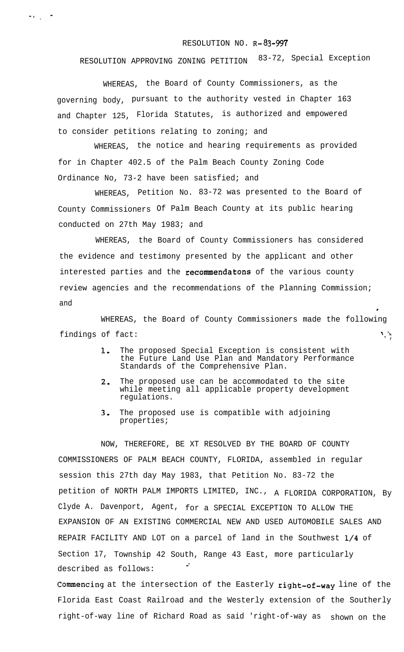## RESOLUTION NO.  $R-83-997$

RESOLUTION APPROVING ZONING PETITION 83-72, Special Exception

WHEREAS, the Board of County Commissioners, as the governing body, pursuant to the authority vested in Chapter 163 and Chapter 125, Florida Statutes, is authorized and empowered to consider petitions relating to zoning; and

 $\label{eq:2.1} \sigma(x) = \frac{\sigma}{\sqrt{2\pi}}$ 

WHEREAS, the notice and hearing requirements as provided for in Chapter 402.5 of the Palm Beach County Zoning Code Ordinance No, 73-2 have been satisfied; and

WHEREAS, Petition No. 83-72 was presented to the Board of County Commissioners Of Palm Beach County at its public hearing conducted on 27th May 1983; and

WHEREAS, the Board of County Commissioners has considered the evidence and testimony presented by the applicant and other interested parties and the recommendatons of the various county review agencies and the recommendations of the Planning Commission; and

WHEREAS, the Board of County Commissioners made the following findings of  $fact:$ : ,

 $\mathbf{I}$ 

- 1, The proposed Special Exception is consistent with the Future Land Use Plan and Mandatory Performance Standards of the Comprehensive Plan.
- 2. The proposed use can be accommodated to the site while meeting all applicable property development regulations.
- 3. The proposed use is compatible with adjoining properties;

NOW, THEREFORE, BE XT RESOLVED BY THE BOARD OF COUNTY COMMISSIONERS OF PALM BEACH COUNTY, FLORIDA, assembled in regular session this 27th day May 1983, that Petition No. 83-72 the petition of NORTH PALM IMPORTS LIMITED, INC., A FLORIDA CORPORATION, By Clyde A. Davenport, Agent, for a SPECIAL EXCEPTION TO ALLOW THE EXPANSION OF AN EXISTING COMMERCIAL NEW AND USED AUTOMOBILE SALES AND REPAIR FACILITY AND LOT on a parcel of land in the Southwest l/4 of Section 17, Township 42 South, Range 43 East, more particularly . described as follows:

**COmencing** at the intersection of the Easterly **right-of-way** line of the Florida East Coast Railroad and the Westerly extension of the Southerly right-of-way line of Richard Road as said 'right-of-way as shown on the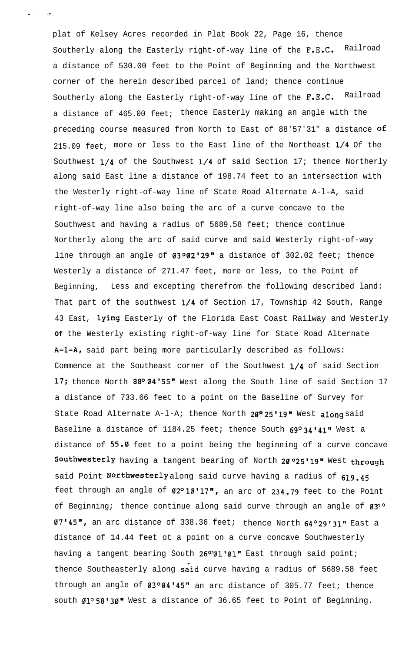plat of Kelsey Acres recorded in Plat Book 22, Page 16, thence Southerly along the Easterly right-of-way line of the F.E.C. Railroad a distance of 530.00 feet to the Point of Beginning and the Northwest corner of the herein described parcel of land; thence continue Southerly along the Easterly right-of-way line of the F.E.C. Railroad a distance of 465.00 feet; thence Easterly making an angle with the preceding course measured from North to East of 88'57'31" a distance of 215.09 feet, more or less to the East line of the Northeast 1/4 Of the Southwest  $1/4$  of the Southwest  $1/4$  of said Section 17; thence Northerly along said East line a distance of 198.74 feet to an intersection with the Westerly right-of-way line of State Road Alternate A-l-A, said right-of-way line also being the arc of a curve concave to the Southwest and having a radius of 5689.58 feet; thence continue Northerly along the arc of said curve and said Westerly right-of-way line through an angle of  $03^{\circ}02'29''$  a distance of 302.02 feet; thence Westerly a distance of 271.47 feet, more or less, to the Point of Beginning, Less and excepting therefrom the following described land: That part of the southwest 1/4 of Section 17, Township 42 South, Range 43 East, lying Easterly of the Florida East Coast Railway and Westerly **Of** the Westerly existing right-of-way line for State Road Alternate A-l-A, said part being more particularly described as follows: Commence at the Southeast corner of the Southwest l/4 of said Section 17; thence North 88º 04'55" West along the South line of said Section 17 a distance of 733.66 feet to a point on the Baseline of Survey for State Road Alternate A-1-A; thence North  $20^{\circ}$  25'19" West along said Baseline a distance of 1184.25 feet; thence South  $69^{\circ}34'41''$  West a distance of  $55.0$  feet to a point being the beginning of a curve concave Southwesterly having a tangent bearing of North 20025'19" West through said Point Northwesterly along said curve having a radius of 619.45 feet through an angle of  $02^{\circ}10'17''$ , an arc of 234.79 feet to the Point of Beginning; thence continue along said curve through an angle of  $03^{\circ}$ 07'45", an arc distance of 338.36 feet; thence North 64°29'31" East a distance of 14.44 feet ot a point on a curve concave Southwesterly having a tangent bearing South  $26°91'91"$  East through said point; thence Southeasterly along said curve having a radius of 5689.58 feet through an angle of  $03^{\circ}04'45"$  an arc distance of 305.77 feet; thence south  $01^{\circ}58'30''$  West a distance of 36.65 feet to Point of Beginning.